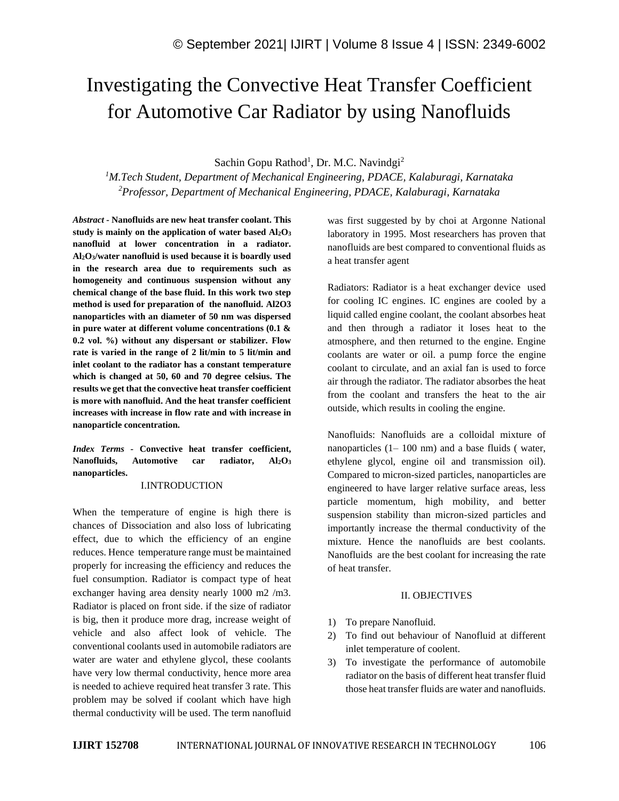# Investigating the Convective Heat Transfer Coefficient for Automotive Car Radiator by using Nanofluids

Sachin Gopu Rathod<sup>1</sup>, Dr. M.C. Navindgi<sup>2</sup>

*<sup>1</sup>M.Tech Student, Department of Mechanical Engineering, PDACE, Kalaburagi, Karnataka <sup>2</sup>Professor, Department of Mechanical Engineering, PDACE, Kalaburagi, Karnataka*

*Abstract -* **Nanofluids are new heat transfer coolant. This study is mainly on the application of water based Al2O<sup>3</sup> nanofluid at lower concentration in a radiator. Al2O3/water nanofluid is used because it is boardly used in the research area due to requirements such as homogeneity and continuous suspension without any chemical change of the base fluid. In this work two step method is used for preparation of the nanofluid. Al2O3 nanoparticles with an diameter of 50 nm was dispersed in pure water at different volume concentrations (0.1 & 0.2 vol. %) without any dispersant or stabilizer. Flow rate is varied in the range of 2 lit/min to 5 lit/min and inlet coolant to the radiator has a constant temperature which is changed at 50, 60 and 70 degree celsius. The results we get that the convective heat transfer coefficient is more with nanofluid. And the heat transfer coefficient increases with increase in flow rate and with increase in nanoparticle concentration.**

*Index Terms -* **Convective heat transfer coefficient, Nanofluids, Automotive car radiator, Al2O<sup>3</sup> nanoparticles.**

## I.INTRODUCTION

When the temperature of engine is high there is chances of Dissociation and also loss of lubricating effect, due to which the efficiency of an engine reduces. Hence temperature range must be maintained properly for increasing the efficiency and reduces the fuel consumption. Radiator is compact type of heat exchanger having area density nearly 1000 m2 /m3. Radiator is placed on front side. if the size of radiator is big, then it produce more drag, increase weight of vehicle and also affect look of vehicle. The conventional coolants used in automobile radiators are water are water and ethylene glycol, these coolants have very low thermal conductivity, hence more area is needed to achieve required heat transfer 3 rate. This problem may be solved if coolant which have high thermal conductivity will be used. The term nanofluid

was first suggested by by choi at Argonne National laboratory in 1995. Most researchers has proven that nanofluids are best compared to conventional fluids as a heat transfer agent

Radiators: Radiator is a heat exchanger device used for cooling IC engines. IC engines are cooled by a liquid called engine coolant, the coolant absorbes heat and then through a radiator it loses heat to the atmosphere, and then returned to the engine. Engine coolants are water or oil. a pump force the engine coolant to circulate, and an axial fan is used to force air through the radiator. The radiator absorbes the heat from the coolant and transfers the heat to the air outside, which results in cooling the engine.

Nanofluids: Nanofluids are a colloidal mixture of nanoparticles  $(1 - 100 \text{ nm})$  and a base fluids (water, ethylene glycol, engine oil and transmission oil). Compared to micron-sized particles, nanoparticles are engineered to have larger relative surface areas, less particle momentum, high mobility, and better suspension stability than micron-sized particles and importantly increase the thermal conductivity of the mixture. Hence the nanofluids are best coolants. Nanofluids are the best coolant for increasing the rate of heat transfer.

## II. OBJECTIVES

- 1) To prepare Nanofluid.
- 2) To find out behaviour of Nanofluid at different inlet temperature of coolent.
- 3) To investigate the performance of automobile radiator on the basis of different heat transfer fluid those heat transfer fluids are water and nanofluids.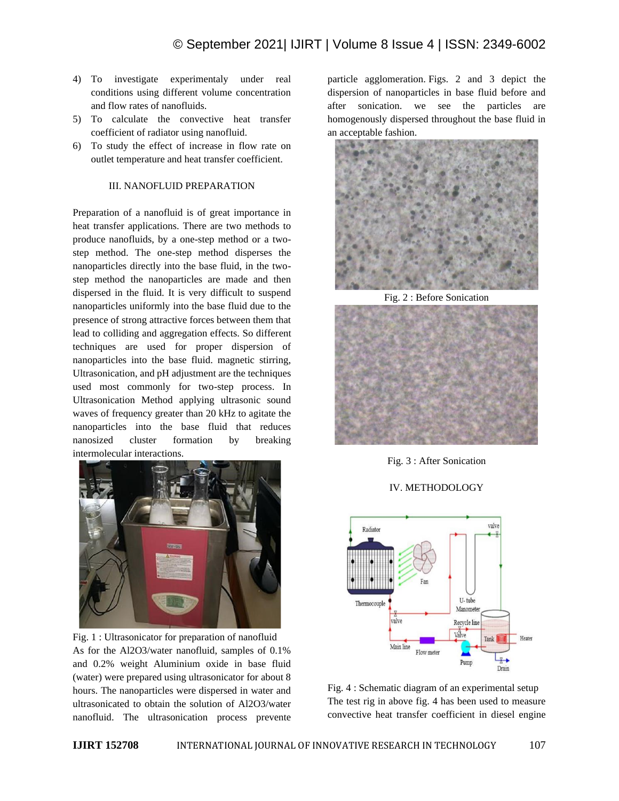- 4) To investigate experimentaly under real conditions using different volume concentration and flow rates of nanofluids.
- 5) To calculate the convective heat transfer coefficient of radiator using nanofluid.
- 6) To study the effect of increase in flow rate on outlet temperature and heat transfer coefficient.

## III. NANOFLUID PREPARATION

Preparation of a nanofluid is of great importance in heat transfer applications. There are two methods to produce nanofluids, by a one-step method or a twostep method. The one-step method disperses the nanoparticles directly into the base fluid, in the twostep method the nanoparticles are made and then dispersed in the fluid. It is very difficult to suspend nanoparticles uniformly into the base fluid due to the presence of strong attractive forces between them that lead to colliding and aggregation effects. So different techniques are used for proper dispersion of nanoparticles into the base fluid. magnetic stirring, Ultrasonication, and pH adjustment are the techniques used most commonly for two-step process. In Ultrasonication Method applying ultrasonic sound waves of frequency greater than 20 kHz to agitate the nanoparticles into the base fluid that reduces nanosized cluster formation by breaking intermolecular interactions.



Fig. 1 : Ultrasonicator for preparation of nanofluid As for the Al2O3/water nanofluid, samples of 0.1% and 0.2% weight Aluminium oxide in base fluid (water) were prepared using ultrasonicator for about 8 hours. The nanoparticles were dispersed in water and ultrasonicated to obtain the solution of Al2O3/water nanofluid. The ultrasonication process prevente particle agglomeration. Figs. 2 and 3 depict the dispersion of nanoparticles in base fluid before and after sonication. we see the particles are homogenously dispersed throughout the base fluid in an acceptable fashion.



Fig. 2 : Before Sonication



Fig. 3 : After Sonication

# IV. METHODOLOGY



Fig. 4 : Schematic diagram of an experimental setup The test rig in above fig. 4 has been used to measure convective heat transfer coefficient in diesel engine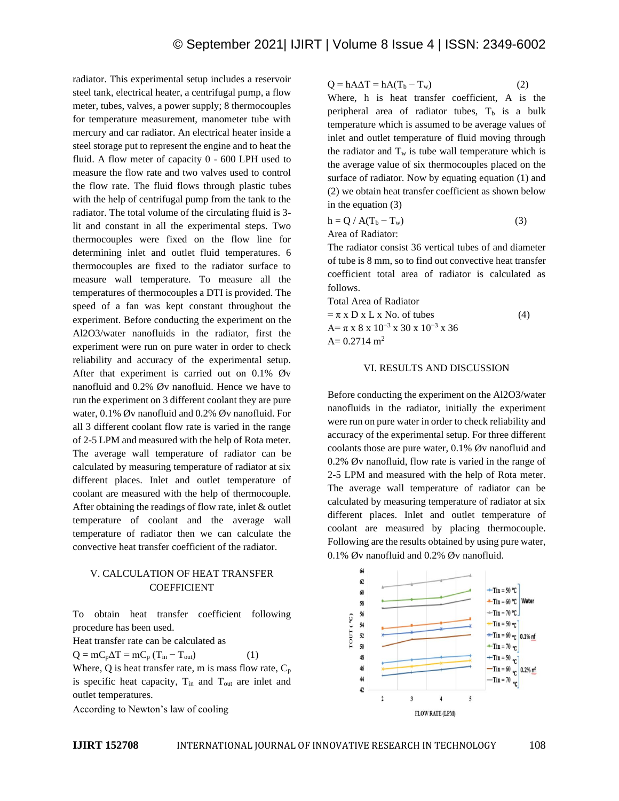radiator. This experimental setup includes a reservoir steel tank, electrical heater, a centrifugal pump, a flow meter, tubes, valves, a power supply; 8 thermocouples for temperature measurement, manometer tube with mercury and car radiator. An electrical heater inside a steel storage put to represent the engine and to heat the fluid. A flow meter of capacity 0 - 600 LPH used to measure the flow rate and two valves used to control the flow rate. The fluid flows through plastic tubes with the help of centrifugal pump from the tank to the radiator. The total volume of the circulating fluid is 3 lit and constant in all the experimental steps. Two thermocouples were fixed on the flow line for determining inlet and outlet fluid temperatures. 6 thermocouples are fixed to the radiator surface to measure wall temperature. To measure all the temperatures of thermocouples a DTI is provided. The speed of a fan was kept constant throughout the experiment. Before conducting the experiment on the Al2O3/water nanofluids in the radiator, first the experiment were run on pure water in order to check reliability and accuracy of the experimental setup. After that experiment is carried out on 0.1% Øv nanofluid and 0.2% Øv nanofluid. Hence we have to run the experiment on 3 different coolant they are pure water, 0.1% Øv nanofluid and 0.2% Øv nanofluid. For all 3 different coolant flow rate is varied in the range of 2-5 LPM and measured with the help of Rota meter. The average wall temperature of radiator can be calculated by measuring temperature of radiator at six different places. Inlet and outlet temperature of coolant are measured with the help of thermocouple. After obtaining the readings of flow rate, inlet & outlet temperature of coolant and the average wall temperature of radiator then we can calculate the convective heat transfer coefficient of the radiator.

# V. CALCULATION OF HEAT TRANSFER COEFFICIENT

To obtain heat transfer coefficient following procedure has been used.

Heat transfer rate can be calculated as

 $Q = mC_p\Delta T = mC_p (T_{in} - T_{out})$  (1) Where, Q is heat transfer rate, m is mass flow rate,  $C_p$ 

is specific heat capacity,  $T_{in}$  and  $T_{out}$  are inlet and outlet temperatures.

According to Newton's law of cooling

$$
Q = hA\Delta T = hA(T_b - T_w)
$$
 (2)

Where, h is heat transfer coefficient, A is the peripheral area of radiator tubes,  $T<sub>b</sub>$  is a bulk temperature which is assumed to be average values of inlet and outlet temperature of fluid moving through the radiator and  $T_w$  is tube wall temperature which is the average value of six thermocouples placed on the surface of radiator. Now by equating equation (1) and (2) we obtain heat transfer coefficient as shown below in the equation (3)

$$
h = Q / A(T_b - T_w)
$$
 (3)  
Area of Radiator:

The radiator consist 36 vertical tubes of and diameter of tube is 8 mm, so to find out convective heat transfer coefficient total area of radiator is calculated as follows.

Total Area of Radiator

 $= \pi x D x L x No.$  of tubes (4) A= π x 8 x 10−3 x 30 x 10−3 x 36  $A= 0.2714$  m<sup>2</sup>

#### VI. RESULTS AND DISCUSSION

Before conducting the experiment on the Al2O3/water nanofluids in the radiator, initially the experiment were run on pure water in order to check reliability and accuracy of the experimental setup. For three different coolants those are pure water, 0.1% Øv nanofluid and 0.2% Øv nanofluid, flow rate is varied in the range of 2-5 LPM and measured with the help of Rota meter. The average wall temperature of radiator can be calculated by measuring temperature of radiator at six different places. Inlet and outlet temperature of coolant are measured by placing thermocouple. Following are the results obtained by using pure water, 0.1% Øv nanofluid and 0.2% Øv nanofluid.